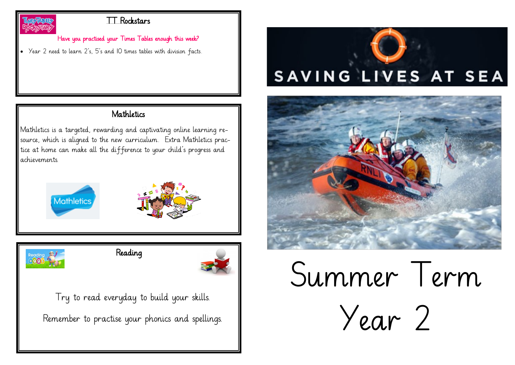

#### TT Rockstars

#### Have you practised your Times Tables enough this week?

• Year 2 need to learn 2's, 5's and 10 times tables with division facts.

#### Mathletics

Mathletics is a targeted, rewarding and captivating online learning resource, which is aligned to the new curriculum. Extra Mathletics practice at home can make all the difference to your child's progress and achievements.





Reading



Try to read everyday to build your skills. Remember to practise your phonics and spellings.





# Summer Term Year 2